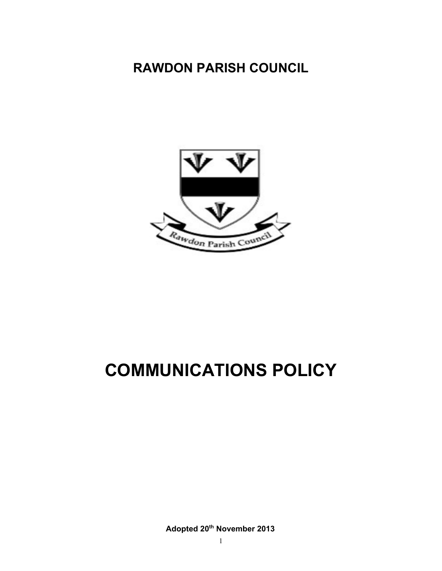# **RAWDON PARISH COUNCIL**



# **COMMUNICATIONS POLICY**

**Adopted 20th November 2013**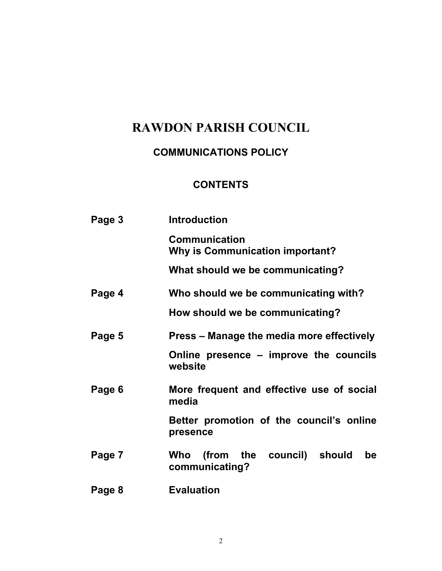## **RAWDON PARISH COUNCIL**

## **COMMUNICATIONS POLICY**

## **CONTENTS**

| Page 3 | <b>Introduction</b>                                            |
|--------|----------------------------------------------------------------|
|        | <b>Communication</b><br><b>Why is Communication important?</b> |
|        | What should we be communicating?                               |
| Page 4 | Who should we be communicating with?                           |
|        | How should we be communicating?                                |
| Page 5 | Press – Manage the media more effectively                      |
|        | Online presence – improve the councils<br>website              |
| Page 6 | More frequent and effective use of social<br>media             |
|        | Better promotion of the council's online<br>presence           |
| Page 7 | (from the council) should<br>Who<br>be<br>communicating?       |
| Page 8 | <b>Evaluation</b>                                              |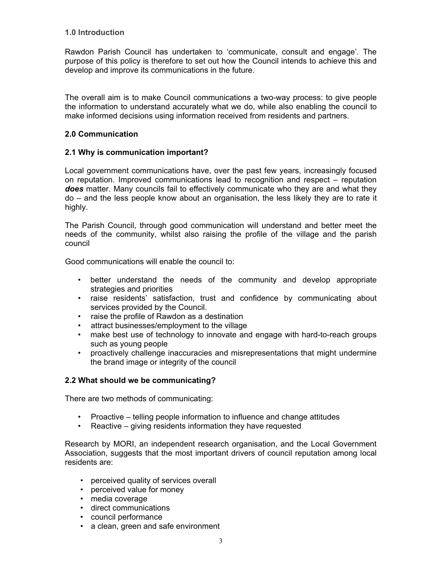#### **1.0 Introduction**

Rawdon Parish Council has undertaken to 'communicate, consult and engage'. The purpose of this policy is therefore to set out how the Council intends to achieve this and develop and improve its communications in the future.

The overall aim is to make Council communications a two-way process: to give people the information to understand accurately what we do, while also enabling the council to make informed decisions using information received from residents and partners.

#### **2.0 Communication**

#### **2.1 Why is communication important?**

Local government communications have, over the past few years, increasingly focused on reputation. Improved communications lead to recognition and respect – reputation *does* matter. Many councils fail to effectively communicate who they are and what they do – and the less people know about an organisation, the less likely they are to rate it highly.

The Parish Council, through good communication will understand and better meet the needs of the community, whilst also raising the profile of the village and the parish council

Good communications will enable the council to:

- better understand the needs of the community and develop appropriate strategies and priorities
- raise residents' satisfaction, trust and confidence by communicating about services provided by the Council.
- raise the profile of Rawdon as a destination
- attract businesses/employment to the village
- make best use of technology to innovate and engage with hard-to-reach groups such as young people
- proactively challenge inaccuracies and misrepresentations that might undermine the brand image or integrity of the council

#### **2.2 What should we be communicating?**

There are two methods of communicating:

- Proactive telling people information to influence and change attitudes
- Reactive giving residents information they have requested

Research by MORI, an independent research organisation, and the Local Government Association, suggests that the most important drivers of council reputation among local residents are:

- perceived quality of services overall
- perceived value for money
- media coverage
- direct communications
- council performance
- a clean, green and safe environment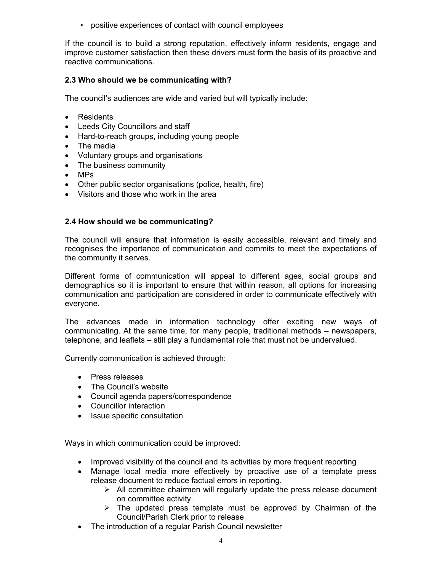• positive experiences of contact with council employees

If the council is to build a strong reputation, effectively inform residents, engage and improve customer satisfaction then these drivers must form the basis of its proactive and reactive communications.

#### **2.3 Who should we be communicating with?**

The council's audiences are wide and varied but will typically include:

- Residents
- Leeds City Councillors and staff
- Hard-to-reach groups, including young people
- The media
- Voluntary groups and organisations
- The business community
- MPs
- Other public sector organisations (police, health, fire)
- Visitors and those who work in the area

#### **2.4 How should we be communicating?**

The council will ensure that information is easily accessible, relevant and timely and recognises the importance of communication and commits to meet the expectations of the community it serves.

Different forms of communication will appeal to different ages, social groups and demographics so it is important to ensure that within reason, all options for increasing communication and participation are considered in order to communicate effectively with everyone.

The advances made in information technology offer exciting new ways of communicating. At the same time, for many people, traditional methods – newspapers, telephone, and leaflets – still play a fundamental role that must not be undervalued.

Currently communication is achieved through:

- Press releases
- The Council's website
- Council agenda papers/correspondence
- Councillor interaction
- Issue specific consultation

Ways in which communication could be improved:

- Improved visibility of the council and its activities by more frequent reporting
- Manage local media more effectively by proactive use of a template press release document to reduce factual errors in reporting.
	- $\triangleright$  All committee chairmen will regularly update the press release document on committee activity.
	- $\triangleright$  The updated press template must be approved by Chairman of the Council/Parish Clerk prior to release
- The introduction of a regular Parish Council newsletter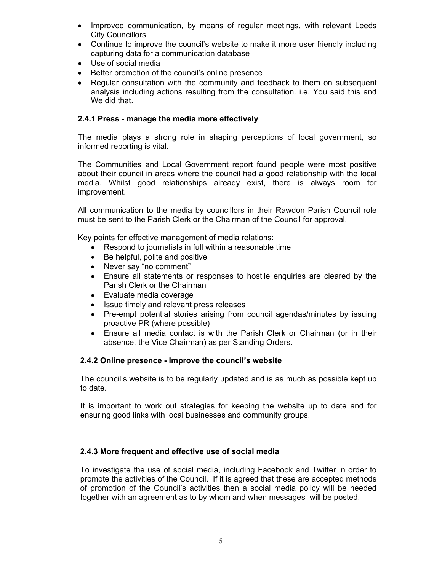- Improved communication, by means of regular meetings, with relevant Leeds City Councillors
- Continue to improve the council's website to make it more user friendly including capturing data for a communication database
- Use of social media
- Better promotion of the council's online presence
- Regular consultation with the community and feedback to them on subsequent analysis including actions resulting from the consultation. i.e. You said this and We did that.

#### **2.4.1 Press - manage the media more effectively**

The media plays a strong role in shaping perceptions of local government, so informed reporting is vital.

The Communities and Local Government report found people were most positive about their council in areas where the council had a good relationship with the local media. Whilst good relationships already exist, there is always room for improvement.

All communication to the media by councillors in their Rawdon Parish Council role must be sent to the Parish Clerk or the Chairman of the Council for approval.

Key points for effective management of media relations:

- Respond to journalists in full within a reasonable time
- Be helpful, polite and positive
- Never say "no comment"
- Ensure all statements or responses to hostile enquiries are cleared by the Parish Clerk or the Chairman
- Evaluate media coverage
- Issue timely and relevant press releases
- Pre-empt potential stories arising from council agendas/minutes by issuing proactive PR (where possible)
- Ensure all media contact is with the Parish Clerk or Chairman (or in their absence, the Vice Chairman) as per Standing Orders.

#### **2.4.2 Online presence - Improve the council's website**

The council's website is to be regularly updated and is as much as possible kept up to date.

It is important to work out strategies for keeping the website up to date and for ensuring good links with local businesses and community groups.

#### **2.4.3 More frequent and effective use of social media**

To investigate the use of social media, including Facebook and Twitter in order to promote the activities of the Council. If it is agreed that these are accepted methods of promotion of the Council's activities then a social media policy will be needed together with an agreement as to by whom and when messages will be posted.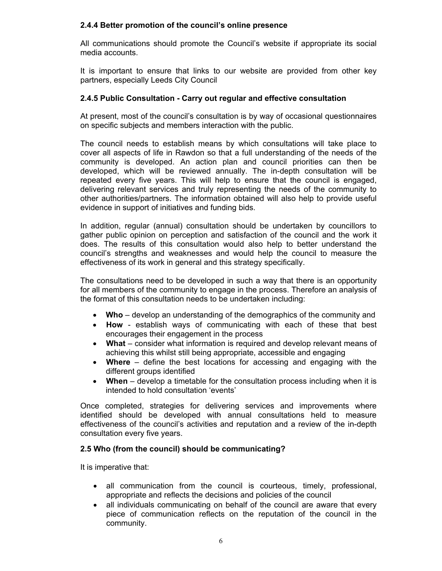#### **2.4.4 Better promotion of the council's online presence**

All communications should promote the Council's website if appropriate its social media accounts.

It is important to ensure that links to our website are provided from other key partners, especially Leeds City Council

#### **2.4.5 Public Consultation - Carry out regular and effective consultation**

At present, most of the council's consultation is by way of occasional questionnaires on specific subjects and members interaction with the public.

The council needs to establish means by which consultations will take place to cover all aspects of life in Rawdon so that a full understanding of the needs of the community is developed. An action plan and council priorities can then be developed, which will be reviewed annually. The in-depth consultation will be repeated every five years. This will help to ensure that the council is engaged, delivering relevant services and truly representing the needs of the community to other authorities/partners. The information obtained will also help to provide useful evidence in support of initiatives and funding bids.

In addition, regular (annual) consultation should be undertaken by councillors to gather public opinion on perception and satisfaction of the council and the work it does. The results of this consultation would also help to better understand the council's strengths and weaknesses and would help the council to measure the effectiveness of its work in general and this strategy specifically.

The consultations need to be developed in such a way that there is an opportunity for all members of the community to engage in the process. Therefore an analysis of the format of this consultation needs to be undertaken including:

- **Who** develop an understanding of the demographics of the community and
- **How** establish ways of communicating with each of these that best encourages their engagement in the process
- **What** consider what information is required and develop relevant means of achieving this whilst still being appropriate, accessible and engaging
- **Where** define the best locations for accessing and engaging with the different groups identified
- **When** develop a timetable for the consultation process including when it is intended to hold consultation 'events'

Once completed, strategies for delivering services and improvements where identified should be developed with annual consultations held to measure effectiveness of the council's activities and reputation and a review of the in-depth consultation every five years.

#### **2.5 Who (from the council) should be communicating?**

It is imperative that:

- all communication from the council is courteous, timely, professional, appropriate and reflects the decisions and policies of the council
- all individuals communicating on behalf of the council are aware that every piece of communication reflects on the reputation of the council in the community.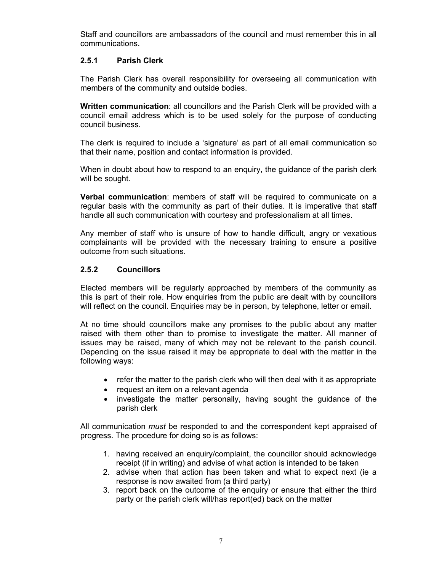Staff and councillors are ambassadors of the council and must remember this in all communications.

#### **2.5.1 Parish Clerk**

The Parish Clerk has overall responsibility for overseeing all communication with members of the community and outside bodies.

**Written communication**: all councillors and the Parish Clerk will be provided with a council email address which is to be used solely for the purpose of conducting council business.

The clerk is required to include a 'signature' as part of all email communication so that their name, position and contact information is provided.

When in doubt about how to respond to an enquiry, the guidance of the parish clerk will be sought.

**Verbal communication**: members of staff will be required to communicate on a regular basis with the community as part of their duties. It is imperative that staff handle all such communication with courtesy and professionalism at all times.

Any member of staff who is unsure of how to handle difficult, angry or vexatious complainants will be provided with the necessary training to ensure a positive outcome from such situations.

#### **2.5.2 Councillors**

Elected members will be regularly approached by members of the community as this is part of their role. How enquiries from the public are dealt with by councillors will reflect on the council. Enquiries may be in person, by telephone, letter or email.

At no time should councillors make any promises to the public about any matter raised with them other than to promise to investigate the matter. All manner of issues may be raised, many of which may not be relevant to the parish council. Depending on the issue raised it may be appropriate to deal with the matter in the following ways:

- refer the matter to the parish clerk who will then deal with it as appropriate
- request an item on a relevant agenda
- investigate the matter personally, having sought the guidance of the parish clerk

All communication *must* be responded to and the correspondent kept appraised of progress. The procedure for doing so is as follows:

- 1. having received an enquiry/complaint, the councillor should acknowledge receipt (if in writing) and advise of what action is intended to be taken
- 2. advise when that action has been taken and what to expect next (ie a response is now awaited from (a third party)
- 3. report back on the outcome of the enquiry or ensure that either the third party or the parish clerk will/has report(ed) back on the matter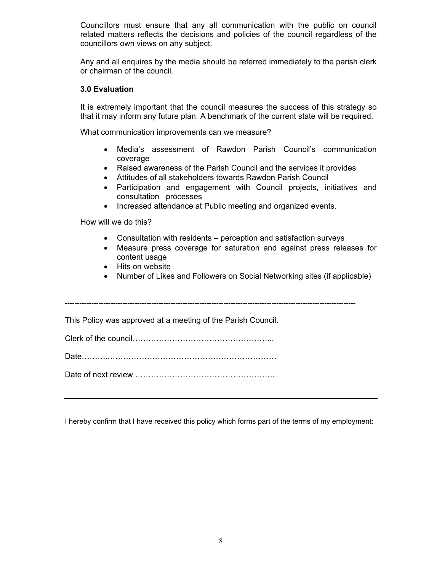Councillors must ensure that any all communication with the public on council related matters reflects the decisions and policies of the council regardless of the councillors own views on any subject.

Any and all enquires by the media should be referred immediately to the parish clerk or chairman of the council.

#### **3.0 Evaluation**

It is extremely important that the council measures the success of this strategy so that it may inform any future plan. A benchmark of the current state will be required.

What communication improvements can we measure?

- Media's assessment of Rawdon Parish Council's communication coverage
- Raised awareness of the Parish Council and the services it provides
- Attitudes of all stakeholders towards Rawdon Parish Council
- Participation and engagement with Council projects, initiatives and consultation processes
- Increased attendance at Public meeting and organized events.

How will we do this?

- Consultation with residents perception and satisfaction surveys
- Measure press coverage for saturation and against press releases for content usage
- Hits on website
- Number of Likes and Followers on Social Networking sites (if applicable)

-------------------------------------------------------------------------------------------------------------------------

This Policy was approved at a meeting of the Parish Council.

Clerk of the council……………………………………………...

Date………..………………………………………………………

Date of next review ……………………………………………..

I hereby confirm that I have received this policy which forms part of the terms of my employment: